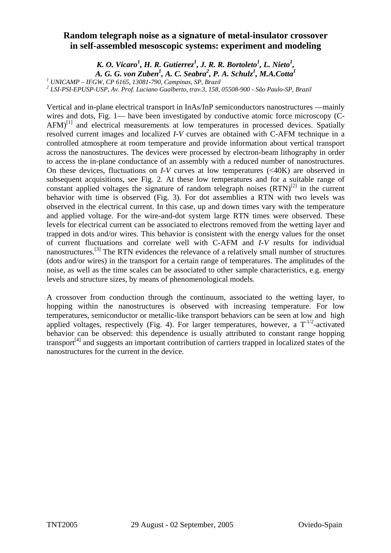## **Random telegraph noise as a signature of metal-insulator crossover in self-assembled mesoscopic systems: experiment and modeling**

*K. O. Vicaro<sup>1</sup>, H. R. Gutierrez<sup>1</sup>, J. R. R. Bortoleto<sup>1</sup>, L. Nieto<sup>1</sup>, A. G. G. von Zuben1 , A. C. Seabra2 , P. A. Schulz1 , M.A.Cotta1*

*1 UNICAMP – IFGW, CP 6165, 13081-790, Campinas, SP, Brazil* 

<sup>2</sup> LSI-PSI-EPUSP-USP, Av. Prof. Luciano Gualberto, trav.3, 158, 05508-900 - São Paulo-SP, Brazil

Vertical and in-plane electrical transport in InAs/InP semiconductors nanostructures —mainly wires and dots, Fig. 1— have been investigated by conductive atomic force microscopy (C- $AFM$ <sup>[1]</sup> and electrical measurements at low temperatures in processed devices. Spatially resolved current images and localized *I*-*V* curves are obtained with C-AFM technique in a controlled atmosphere at room temperature and provide information about vertical transport across the nanostructures. The devices were processed by electron-beam lithography in order to access the in-plane conductance of an assembly with a reduced number of nanostructures. On these devices, fluctuations on *I*-*V* curves at low temperatures (<40K) are observed in subsequent acquisitions, see Fig. 2. At these low temperatures and for a suitable range of constant applied voltages the signature of random telegraph noises  $(RTN)^{[2]}$  in the current behavior with time is observed (Fig. 3). For dot assemblies a RTN with two levels was observed in the electrical current. In this case, up and down times vary with the temperature and applied voltage. For the wire-and-dot system large RTN times were observed. These levels for electrical current can be associated to electrons removed from the wetting layer and trapped in dots and/or wires. This behavior is consistent with the energy values for the onset of current fluctuations and correlate well with C-AFM and *I*-*V* results for individual nanostructures.<sup>[3]</sup> The RTN evidences the relevance of a relatively small number of structures (dots and/or wires) in the transport for a certain range of temperatures. The amplitudes of the noise, as well as the time scales can be associated to other sample characteristics, e.g. energy levels and structure sizes, by means of phenomenological models.

A crossover from conduction through the continuum, associated to the wetting layer, to hopping within the nanostructures is observed with increasing temperature. For low temperatures, semiconductor or metallic-like transport behaviors can be seen at low and high applied voltages, respectively (Fig. 4). For larger temperatures, however, a  $T^{1/2}$ -activated behavior can be observed: this dependence is usually attributed to constant range hopping transport<sup>[4]</sup> and suggests an important contribution of carriers trapped in localized states of the nanostructures for the current in the device.